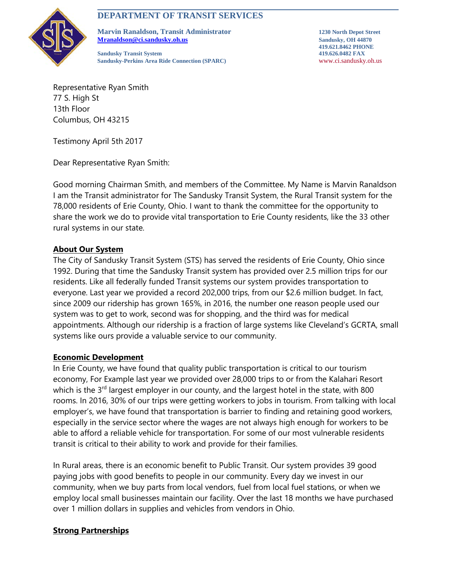# **DEPARTMENT OF TRANSIT SERVICES**



**Marvin Ranaldson, Transit Administrator 1230 North Depot Street [Mranaldson@ci.sandusky.oh.us](mailto:Mranaldson@ci.sandusky.oh.us) Sandusky, OH 44870**

**Sandusky Transit System 419.626.0482 FAX Sandusky-Perkins Area Ride Connection (SPARC)** www.ci.sandusky.oh.us

**419.621.8462 PHONE**

Representative Ryan Smith 77 S. High St 13th Floor Columbus, OH 43215

Testimony April 5th 2017

Dear Representative Ryan Smith:

Good morning Chairman Smith, and members of the Committee. My Name is Marvin Ranaldson I am the Transit administrator for The Sandusky Transit System, the Rural Transit system for the 78,000 residents of Erie County, Ohio. I want to thank the committee for the opportunity to share the work we do to provide vital transportation to Erie County residents, like the 33 other rural systems in our state.

### **About Our System**

The City of Sandusky Transit System (STS) has served the residents of Erie County, Ohio since 1992. During that time the Sandusky Transit system has provided over 2.5 million trips for our residents. Like all federally funded Transit systems our system provides transportation to everyone. Last year we provided a record 202,000 trips, from our \$2.6 million budget. In fact, since 2009 our ridership has grown 165%, in 2016, the number one reason people used our system was to get to work, second was for shopping, and the third was for medical appointments. Although our ridership is a fraction of large systems like Cleveland's GCRTA, small systems like ours provide a valuable service to our community.

### **Economic Development**

In Erie County, we have found that quality public transportation is critical to our tourism economy, For Example last year we provided over 28,000 trips to or from the Kalahari Resort which is the  $3<sup>rd</sup>$  largest employer in our county, and the largest hotel in the state, with 800 rooms. In 2016, 30% of our trips were getting workers to jobs in tourism. From talking with local employer's, we have found that transportation is barrier to finding and retaining good workers, especially in the service sector where the wages are not always high enough for workers to be able to afford a reliable vehicle for transportation. For some of our most vulnerable residents transit is critical to their ability to work and provide for their families.

In Rural areas, there is an economic benefit to Public Transit. Our system provides 39 good paying jobs with good benefits to people in our community. Every day we invest in our community, when we buy parts from local vendors, fuel from local fuel stations, or when we employ local small businesses maintain our facility. Over the last 18 months we have purchased over 1 million dollars in supplies and vehicles from vendors in Ohio.

## **Strong Partnerships**